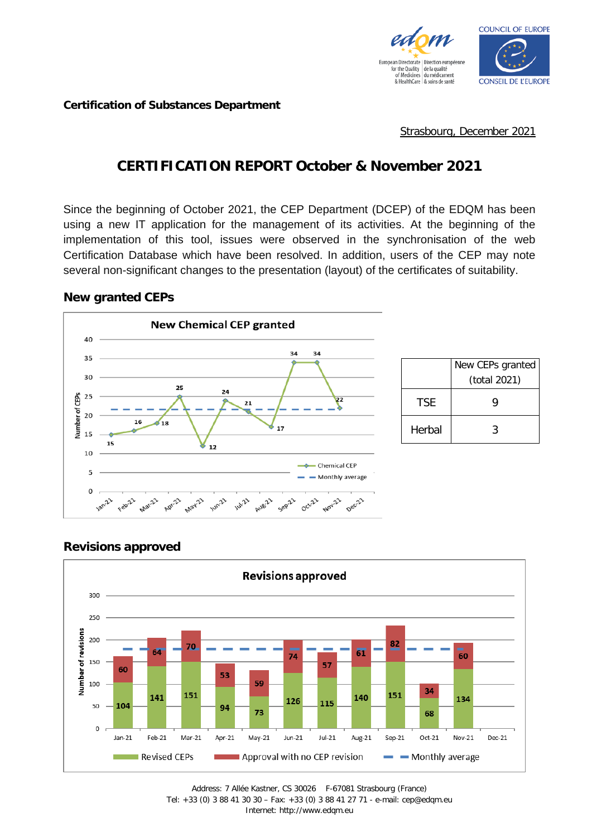

**Certification of Substances Department**

Strasbourg, December 2021

# **CERTIFICATION REPORT October & November 2021**

Since the beginning of October 2021, the CEP Department (DCEP) of the EDQM has been using a new IT application for the management of its activities. At the beginning of the implementation of this tool, issues were observed in the synchronisation of the web Certification Database which have been resolved. In addition, users of the CEP may note several non-significant changes to the presentation (layout) of the certificates of suitability.

#### **New granted CEPs**





### **Revisions approved**

Address: 7 Allée Kastner, CS 30026 F-67081 Strasbourg (France) Tel: +33 (0) 3 88 41 30 30 – Fax: +33 (0) 3 88 41 27 71 - e-mail: cep@edqm.eu Internet: http://www.edqm.eu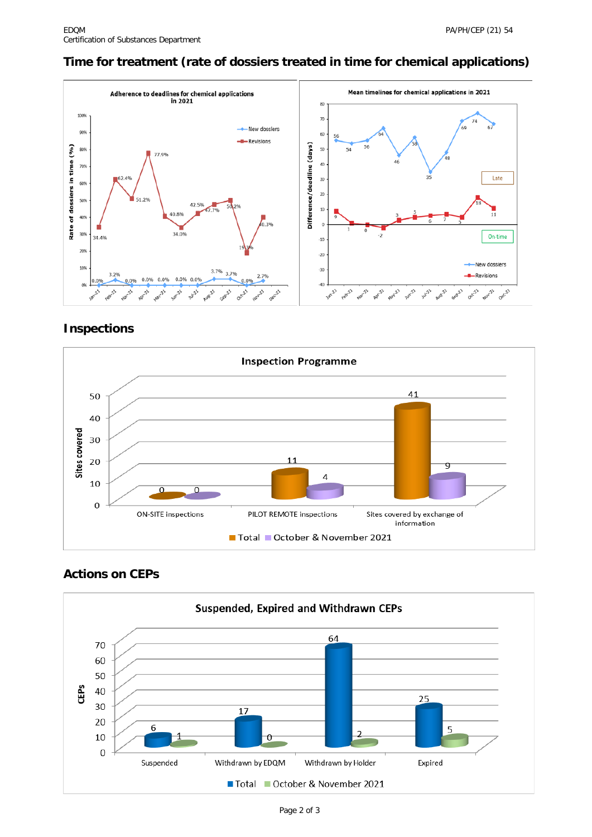### **Time for treatment (rate of dossiers treated in time for chemical applications)**



### **Inspections**



## **Actions on CEPs**